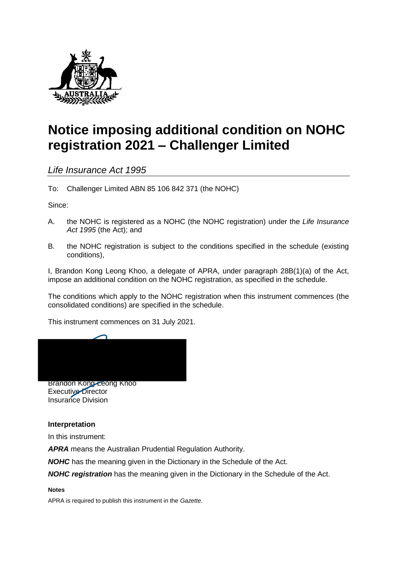

# **Notice imposing additional condition on NOHC registration 2021 – Challenger Limited**

*Life Insurance Act 1995*

To: Challenger Limited ABN 85 106 842 371 (the NOHC)

Since:

- A. the NOHC is registered as a NOHC (the NOHC registration) under the *Life Insurance Act 1995* (the Act); and
- B. the NOHC registration is subject to the conditions specified in the schedule (existing conditions),

I, Brandon Kong Leong Khoo, a delegate of APRA, under paragraph 28B(1)(a) of the Act, impose an additional condition on the NOHC registration, as specified in the schedule.

The conditions which apply to the NOHC registration when this instrument commences (the consolidated conditions) are specified in the schedule.

This instrument commences on 31 July 2021.



Executive Director Insurance Division

### **Interpretation**

In this instrument:

*APRA* means the Australian Prudential Regulation Authority.

**NOHC** has the meaning given in the Dictionary in the Schedule of the Act.

**NOHC registration** has the meaning given in the Dictionary in the Schedule of the Act.

**Notes**

APRA is required to publish this instrument in the *Gazette.*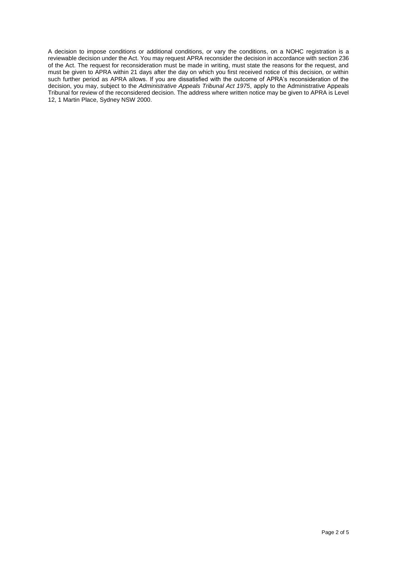A decision to impose conditions or additional conditions, or vary the conditions, on a NOHC registration is a reviewable decision under the Act. You may request APRA reconsider the decision in accordance with section 236 of the Act. The request for reconsideration must be made in writing, must state the reasons for the request, and must be given to APRA within 21 days after the day on which you first received notice of this decision, or within such further period as APRA allows. If you are dissatisfied with the outcome of APRA's reconsideration of the decision, you may, subject to the *Administrative Appeals Tribunal Act 1975*, apply to the Administrative Appeals Tribunal for review of the reconsidered decision. The address where written notice may be given to APRA is Level 12, 1 Martin Place, Sydney NSW 2000.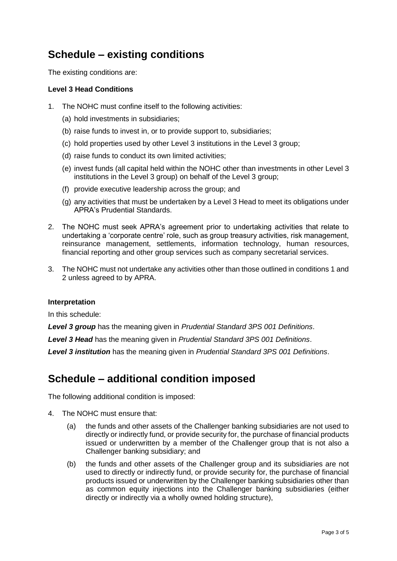# **Schedule – existing conditions**

The existing conditions are:

### **Level 3 Head Conditions**

- 1. The NOHC must confine itself to the following activities:
	- (a) hold investments in subsidiaries;
	- (b) raise funds to invest in, or to provide support to, subsidiaries;
	- (c) hold properties used by other Level 3 institutions in the Level 3 group;
	- (d) raise funds to conduct its own limited activities;
	- (e) invest funds (all capital held within the NOHC other than investments in other Level 3 institutions in the Level 3 group) on behalf of the Level 3 group;
	- (f) provide executive leadership across the group; and
	- (g) any activities that must be undertaken by a Level 3 Head to meet its obligations under APRA's Prudential Standards.
- 2. The NOHC must seek APRA's agreement prior to undertaking activities that relate to undertaking a 'corporate centre' role, such as group treasury activities, risk management, reinsurance management, settlements, information technology, human resources, financial reporting and other group services such as company secretarial services.
- 3. The NOHC must not undertake any activities other than those outlined in conditions 1 and 2 unless agreed to by APRA.

### **Interpretation**

In this schedule:

*Level 3 group* has the meaning given in *Prudential Standard 3PS 001 Definitions*.

*Level 3 Head* has the meaning given in *Prudential Standard 3PS 001 Definitions*.

*Level 3 institution* has the meaning given in *Prudential Standard 3PS 001 Definitions*.

### **Schedule – additional condition imposed**

The following additional condition is imposed:

- 4. The NOHC must ensure that:
	- (a) the funds and other assets of the Challenger banking subsidiaries are not used to directly or indirectly fund, or provide security for, the purchase of financial products issued or underwritten by a member of the Challenger group that is not also a Challenger banking subsidiary; and
	- (b) the funds and other assets of the Challenger group and its subsidiaries are not used to directly or indirectly fund, or provide security for, the purchase of financial products issued or underwritten by the Challenger banking subsidiaries other than as common equity injections into the Challenger banking subsidiaries (either directly or indirectly via a wholly owned holding structure),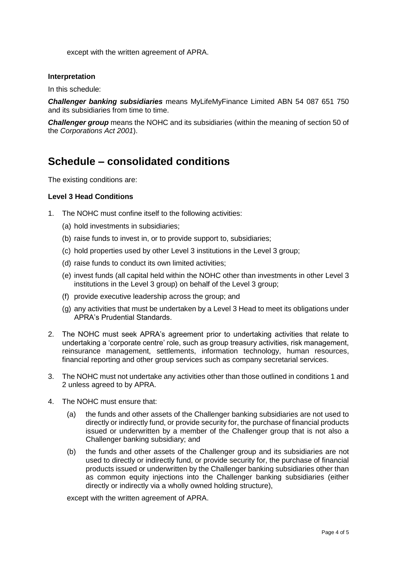except with the written agreement of APRA.

### **Interpretation**

In this schedule:

*Challenger banking subsidiaries* means MyLifeMyFinance Limited ABN 54 087 651 750 and its subsidiaries from time to time.

*Challenger group* means the NOHC and its subsidiaries (within the meaning of section 50 of the *Corporations Act 2001*).

## **Schedule – consolidated conditions**

The existing conditions are:

### **Level 3 Head Conditions**

- 1. The NOHC must confine itself to the following activities:
	- (a) hold investments in subsidiaries;
	- (b) raise funds to invest in, or to provide support to, subsidiaries;
	- (c) hold properties used by other Level 3 institutions in the Level 3 group;
	- (d) raise funds to conduct its own limited activities;
	- (e) invest funds (all capital held within the NOHC other than investments in other Level 3 institutions in the Level 3 group) on behalf of the Level 3 group;
	- (f) provide executive leadership across the group; and
	- (g) any activities that must be undertaken by a Level 3 Head to meet its obligations under APRA's Prudential Standards.
- 2. The NOHC must seek APRA's agreement prior to undertaking activities that relate to undertaking a 'corporate centre' role, such as group treasury activities, risk management, reinsurance management, settlements, information technology, human resources, financial reporting and other group services such as company secretarial services.
- 3. The NOHC must not undertake any activities other than those outlined in conditions 1 and 2 unless agreed to by APRA.
- 4. The NOHC must ensure that:
	- (a) the funds and other assets of the Challenger banking subsidiaries are not used to directly or indirectly fund, or provide security for, the purchase of financial products issued or underwritten by a member of the Challenger group that is not also a Challenger banking subsidiary; and
	- (b) the funds and other assets of the Challenger group and its subsidiaries are not used to directly or indirectly fund, or provide security for, the purchase of financial products issued or underwritten by the Challenger banking subsidiaries other than as common equity injections into the Challenger banking subsidiaries (either directly or indirectly via a wholly owned holding structure),

except with the written agreement of APRA.